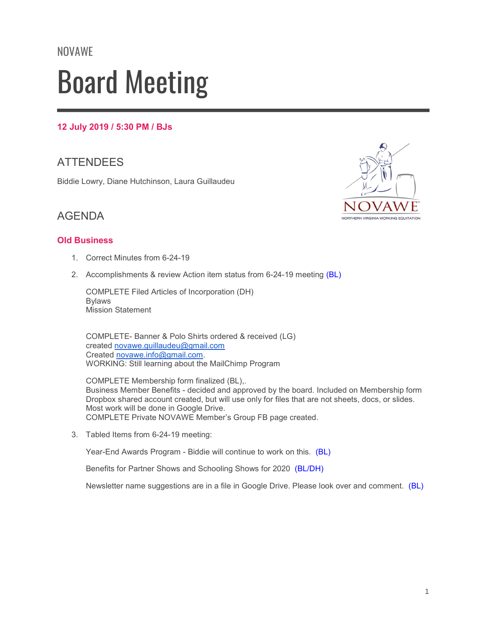# NOVAWE Board Meeting

#### 12 July 2019 / 5:30 PM / BJs

## **ATTENDEES**

Biddie Lowry, Diane Hutchinson, Laura Guillaudeu



## AGENDA

#### Old Business

- 1. Correct Minutes from 6-24-19
- 2. Accomplishments & review Action item status from 6-24-19 meeting (BL)

COMPLETE Filed Articles of Incorporation (DH) Bylaws Mission Statement

COMPLETE- Banner & Polo Shirts ordered & received (LG) created novawe.guillaudeu@gmail.com Created novawe.info@gmail.com. WORKING: Still learning about the MailChimp Program

COMPLETE Membership form finalized (BL),. Business Member Benefits - decided and approved by the board. Included on Membership form Dropbox shared account created, but will use only for files that are not sheets, docs, or slides. Most work will be done in Google Drive. COMPLETE Private NOVAWE Member's Group FB page created.

3. Tabled Items from 6-24-19 meeting:

Year-End Awards Program - Biddie will continue to work on this. (BL)

Benefits for Partner Shows and Schooling Shows for 2020 (BL/DH)

Newsletter name suggestions are in a file in Google Drive. Please look over and comment. (BL)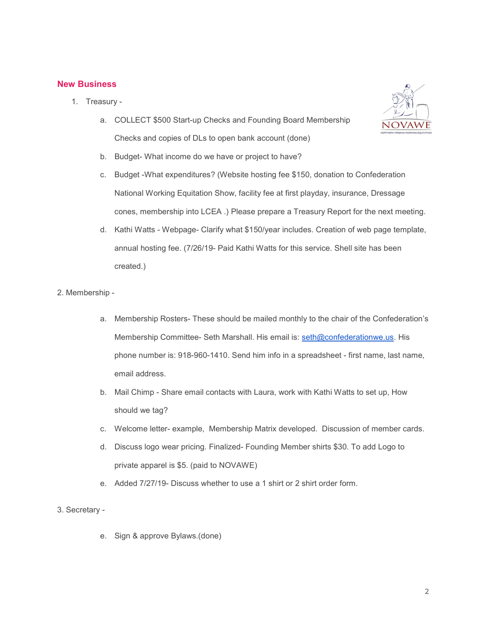#### New Business

- 1. Treasury
	- a. COLLECT \$500 Start-up Checks and Founding Board Membership Checks and copies of DLs to open bank account (done)
	- b. Budget- What income do we have or project to have?
	- c. Budget -What expenditures? (Website hosting fee \$150, donation to Confederation National Working Equitation Show, facility fee at first playday, insurance, Dressage cones, membership into LCEA .) Please prepare a Treasury Report for the next meeting.
	- d. Kathi Watts Webpage- Clarify what \$150/year includes. Creation of web page template, annual hosting fee. (7/26/19- Paid Kathi Watts for this service. Shell site has been created.)
- 2. Membership
	- a. Membership Rosters- These should be mailed monthly to the chair of the Confederation's Membership Committee- Seth Marshall. His email is: seth@confederationwe.us. His phone number is: 918-960-1410. Send him info in a spreadsheet - first name, last name, email address.
	- b. Mail Chimp Share email contacts with Laura, work with Kathi Watts to set up, How should we tag?
	- c. Welcome letter- example, Membership Matrix developed. Discussion of member cards.
	- d. Discuss logo wear pricing. Finalized- Founding Member shirts \$30. To add Logo to private apparel is \$5. (paid to NOVAWE)
	- e. Added 7/27/19- Discuss whether to use a 1 shirt or 2 shirt order form.
- 3. Secretary
	- e. Sign & approve Bylaws.(done)



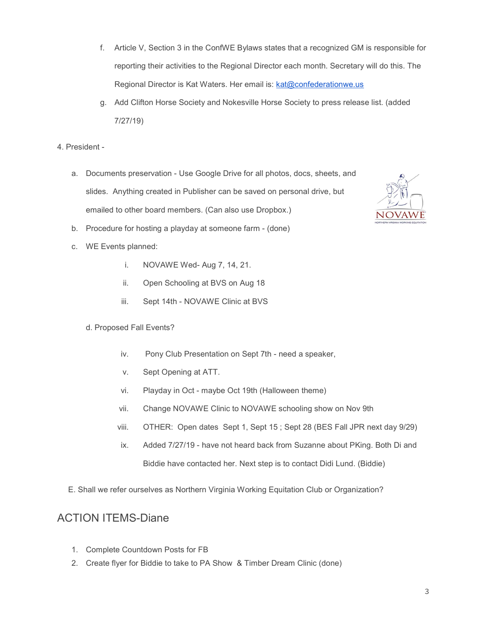- f. Article V, Section 3 in the ConfWE Bylaws states that a recognized GM is responsible for reporting their activities to the Regional Director each month. Secretary will do this. The Regional Director is Kat Waters. Her email is: kat@confederationwe.us
- g. Add Clifton Horse Society and Nokesville Horse Society to press release list. (added 7/27/19)
- 4. President
	- a. Documents preservation Use Google Drive for all photos, docs, sheets, and slides. Anything created in Publisher can be saved on personal drive, but emailed to other board members. (Can also use Dropbox.)
	- b. Procedure for hosting a playday at someone farm (done)
	- c. WE Events planned:
		- i. NOVAWE Wed- Aug 7, 14, 21.
		- ii. Open Schooling at BVS on Aug 18
		- iii. Sept 14th NOVAWE Clinic at BVS
		- d. Proposed Fall Events?
			- iv. Pony Club Presentation on Sept 7th need a speaker,
			- v. Sept Opening at ATT.
			- vi. Playday in Oct maybe Oct 19th (Halloween theme)
			- vii. Change NOVAWE Clinic to NOVAWE schooling show on Nov 9th
			- viii. OTHER: Open dates Sept 1, Sept 15 ; Sept 28 (BES Fall JPR next day 9/29)
			- ix. Added 7/27/19 have not heard back from Suzanne about PKing. Both Di and Biddie have contacted her. Next step is to contact Didi Lund. (Biddie)
	- E. Shall we refer ourselves as Northern Virginia Working Equitation Club or Organization?

### ACTION ITEMS-Diane

- 1. Complete Countdown Posts for FB
- 2. Create flyer for Biddie to take to PA Show & Timber Dream Clinic (done)

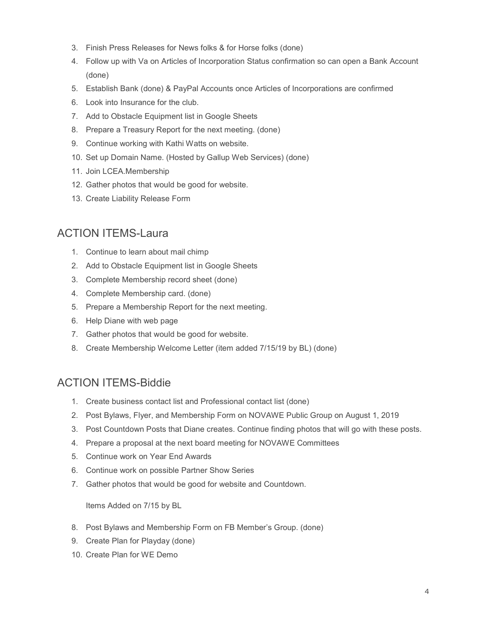- 3. Finish Press Releases for News folks & for Horse folks (done)
- 4. Follow up with Va on Articles of Incorporation Status confirmation so can open a Bank Account (done)
- 5. Establish Bank (done) & PayPal Accounts once Articles of Incorporations are confirmed
- 6. Look into Insurance for the club.
- 7. Add to Obstacle Equipment list in Google Sheets
- 8. Prepare a Treasury Report for the next meeting. (done)
- 9. Continue working with Kathi Watts on website.
- 10. Set up Domain Name. (Hosted by Gallup Web Services) (done)
- 11. Join LCEA.Membership
- 12. Gather photos that would be good for website.
- 13. Create Liability Release Form

## ACTION ITEMS-Laura

- 1. Continue to learn about mail chimp
- 2. Add to Obstacle Equipment list in Google Sheets
- 3. Complete Membership record sheet (done)
- 4. Complete Membership card. (done)
- 5. Prepare a Membership Report for the next meeting.
- 6. Help Diane with web page
- 7. Gather photos that would be good for website.
- 8. Create Membership Welcome Letter (item added 7/15/19 by BL) (done)

## ACTION ITEMS-Biddie

- 1. Create business contact list and Professional contact list (done)
- 2. Post Bylaws, Flyer, and Membership Form on NOVAWE Public Group on August 1, 2019
- 3. Post Countdown Posts that Diane creates. Continue finding photos that will go with these posts.
- 4. Prepare a proposal at the next board meeting for NOVAWE Committees
- 5. Continue work on Year End Awards
- 6. Continue work on possible Partner Show Series
- 7. Gather photos that would be good for website and Countdown.

Items Added on 7/15 by BL

- 8. Post Bylaws and Membership Form on FB Member's Group. (done)
- 9. Create Plan for Playday (done)
- 10. Create Plan for WE Demo